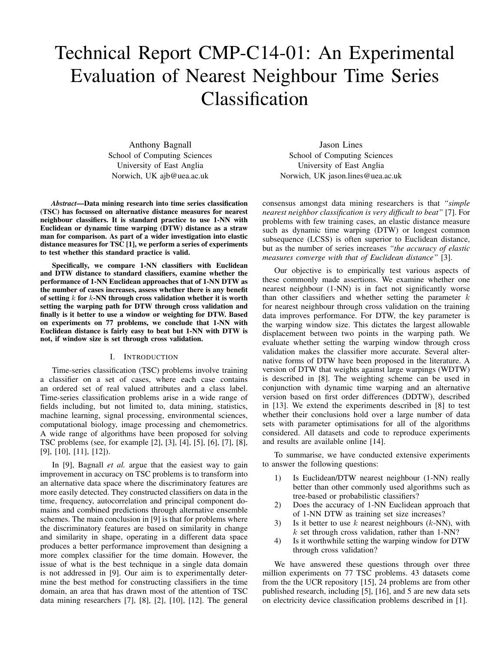# Technical Report CMP-C14-01: An Experimental Evaluation of Nearest Neighbour Time Series Classification

Anthony Bagnall School of Computing Sciences University of East Anglia Norwich, UK ajb@uea.ac.uk

*Abstract*—Data mining research into time series classification (TSC) has focussed on alternative distance measures for nearest neighbour classifiers. It is standard practice to use 1-NN with Euclidean or dynamic time warping (DTW) distance as a straw man for comparison. As part of a wider investigation into elastic distance measures for TSC [1], we perform a series of experiments to test whether this standard practice is valid.

Specifically, we compare 1-NN classifiers with Euclidean and DTW distance to standard classifiers, examine whether the performance of 1-NN Euclidean approaches that of 1-NN DTW as the number of cases increases, assess whether there is any benefit of setting  $k$  for  $k$ -NN through cross validation whether it is worth setting the warping path for DTW through cross validation and finally is it better to use a window or weighting for DTW. Based on experiments on 77 problems, we conclude that 1-NN with Euclidean distance is fairly easy to beat but 1-NN with DTW is not, if window size is set through cross validation.

## I. INTRODUCTION

Time-series classification (TSC) problems involve training a classifier on a set of cases, where each case contains an ordered set of real valued attributes and a class label. Time-series classification problems arise in a wide range of fields including, but not limited to, data mining, statistics, machine learning, signal processing, environmental sciences, computational biology, image processing and chemometrics. A wide range of algorithms have been proposed for solving TSC problems (see, for example [2], [3], [4], [5], [6], [7], [8], [9], [10], [11], [12]).

In [9], Bagnall *et al.* argue that the easiest way to gain improvement in accuracy on TSC problems is to transform into an alternative data space where the discriminatory features are more easily detected. They constructed classifiers on data in the time, frequency, autocorrelation and principal component domains and combined predictions through alternative ensemble schemes. The main conclusion in [9] is that for problems where the discriminatory features are based on similarity in change and similarity in shape, operating in a different data space produces a better performance improvement than designing a more complex classifier for the time domain. However, the issue of what is the best technique in a single data domain is not addressed in [9]. Our aim is to experimentally determine the best method for constructing classifiers in the time domain, an area that has drawn most of the attention of TSC data mining researchers [7], [8], [2], [10], [12]. The general

Jason Lines School of Computing Sciences University of East Anglia Norwich, UK jason.lines@uea.ac.uk

consensus amongst data mining researchers is that *"simple nearest neighbor classification is very difficult to beat"* [7]. For problems with few training cases, an elastic distance measure such as dynamic time warping (DTW) or longest common subsequence (LCSS) is often superior to Euclidean distance, but as the number of series increases *"the accuracy of elastic measures converge with that of Euclidean distance"* [3].

Our objective is to empirically test various aspects of these commonly made assertions. We examine whether one nearest neighbour (1-NN) is in fact not significantly worse than other classifiers and whether setting the parameter  $k$ for nearest neighbour through cross validation on the training data improves performance. For DTW, the key parameter is the warping window size. This dictates the largest allowable displacement between two points in the warping path. We evaluate whether setting the warping window through cross validation makes the classifier more accurate. Several alternative forms of DTW have been proposed in the literature. A version of DTW that weights against large warpings (WDTW) is described in [8]. The weighting scheme can be used in conjunction with dynamic time warping and an alternative version based on first order differences (DDTW), described in [13]. We extend the experiments described in [8] to test whether their conclusions hold over a large number of data sets with parameter optimisations for all of the algorithms considered. All datasets and code to reproduce experiments and results are available online [14].

To summarise, we have conducted extensive experiments to answer the following questions:

- 1) Is Euclidean/DTW nearest neighbour (1-NN) really better than other commonly used algorithms such as tree-based or probabilistic classifiers?
- 2) Does the accuracy of 1-NN Euclidean approach that of 1-NN DTW as training set size increases?
- 3) Is it better to use k nearest neighbours  $(k-NN)$ , with  $k$  set through cross validation, rather than 1-NN?
- 4) Is it worthwhile setting the warping window for DTW through cross validation?

We have answered these questions through over three million experiments on 77 TSC problems. 43 datasets come from the the UCR repository [15], 24 problems are from other published research, including [5], [16], and 5 are new data sets on electricity device classification problems described in [1].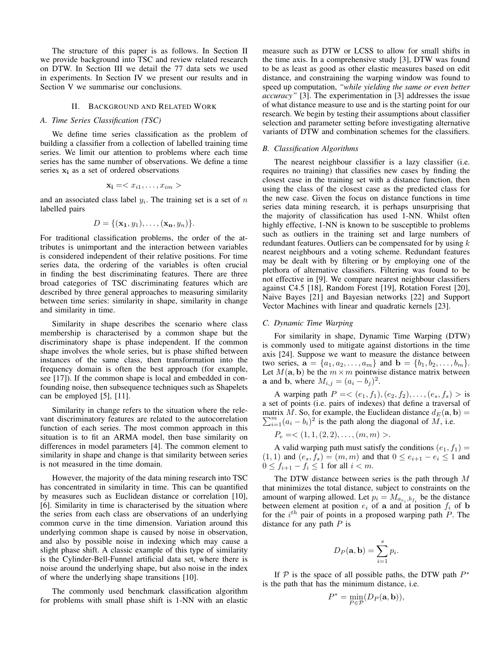The structure of this paper is as follows. In Section II we provide background into TSC and review related research on DTW. In Section III we detail the 77 data sets we used in experiments. In Section IV we present our results and in Section V we summarise our conclusions.

#### II. BACKGROUND AND RELATED WORK

### *A. Time Series Classification (TSC)*

We define time series classification as the problem of building a classifier from a collection of labelled training time series. We limit our attention to problems where each time series has the same number of observations. We define a time series  $x_i$  as a set of ordered observations

$$
\mathbf{x_i} =
$$

and an associated class label  $y_i$ . The training set is a set of  $n$ labelled pairs

$$
D = \{(\mathbf{x_1}, y_1), \ldots, (\mathbf{x_n}, y_n)\}.
$$

For traditional classification problems, the order of the attributes is unimportant and the interaction between variables is considered independent of their relative positions. For time series data, the ordering of the variables is often crucial in finding the best discriminating features. There are three broad categories of TSC discriminating features which are described by three general approaches to measuring similarity between time series: similarity in shape, similarity in change and similarity in time.

Similarity in shape describes the scenario where class membership is characterised by a common shape but the discriminatory shape is phase independent. If the common shape involves the whole series, but is phase shifted between instances of the same class, then transformation into the frequency domain is often the best approach (for example, see [17]). If the common shape is local and embedded in confounding noise, then subsequence techniques such as Shapelets can be employed [5], [11].

Similarity in change refers to the situation where the relevant discriminatory features are related to the autocorrelation function of each series. The most common approach in this situation is to fit an ARMA model, then base similarity on differences in model parameters [4]. The common element to similarity in shape and change is that similarity between series is not measured in the time domain.

However, the majority of the data mining research into TSC has concentrated in similarity in time. This can be quantified by measures such as Euclidean distance or correlation [10], [6]. Similarity in time is characterised by the situation where the series from each class are observations of an underlying common curve in the time dimension. Variation around this underlying common shape is caused by noise in observation, and also by possible noise in indexing which may cause a slight phase shift. A classic example of this type of similarity is the Cylinder-Bell-Funnel artificial data set, where there is noise around the underlying shape, but also noise in the index of where the underlying shape transitions [10].

The commonly used benchmark classification algorithm for problems with small phase shift is 1-NN with an elastic

measure such as DTW or LCSS to allow for small shifts in the time axis. In a comprehensive study [3], DTW was found to be as least as good as other elastic measures based on edit distance, and constraining the warping window was found to speed up computation, *"while yielding the same or even better accuracy"* [3]. The experimentation in [3] addresses the issue of what distance measure to use and is the starting point for our research. We begin by testing their assumptions about classifier selection and parameter setting before investigating alternative variants of DTW and combination schemes for the classifiers.

### *B. Classification Algorithms*

The nearest neighbour classifier is a lazy classifier (i.e. requires no training) that classifies new cases by finding the closest case in the training set with a distance function, then using the class of the closest case as the predicted class for the new case. Given the focus on distance functions in time series data mining research, it is perhaps unsurprising that the majority of classification has used 1-NN. Whilst often highly effective, 1-NN is known to be susceptible to problems such as outliers in the training set and large numbers of redundant features. Outliers can be compensated for by using  $k$ nearest neighbours and a voting scheme. Redundant features may be dealt with by filtering or by employing one of the plethora of alternative classifiers. Filtering was found to be not effective in [9]. We compare nearest neighbour classifiers against C4.5 [18], Random Forest [19], Rotation Forest [20], Naive Bayes [21] and Bayesian networks [22] and Support Vector Machines with linear and quadratic kernels [23].

## *C. Dynamic Time Warping*

For similarity in shape, Dynamic Time Warping (DTW) is commonly used to mitigate against distortions in the time axis [24]. Suppose we want to measure the distance between two series,  $\mathbf{a} = \{a_1, a_2, \dots, a_m\}$  and  $\mathbf{b} = \{b_1, b_2, \dots, b_m\}.$ Let  $M(\mathbf{a}, \mathbf{b})$  be the  $m \times m$  pointwise distance matrix between **a** and **b**, where  $M_{i,j} = (a_i - b_j)^2$ .

A warping path  $P = \langle (e_1, f_1), (e_2, f_2), \dots, (e_s, f_s) \rangle$  is a set of points (i.e. pairs of indexes) that define a traversal of P matrix M. So, for example, the Euclidean distance  $d_E(\mathbf{a}, \mathbf{b}) = \sum_{i=1}^{m} (a_i - b_i)^2$  is the path along the diagonal of M, i.e.

$$
P_e = \langle 1, 1, (2, 2), \dots, (m, m) \rangle.
$$

A valid warping path must satisfy the conditions  $(e_1, f_1)$  =  $(1, 1)$  and  $(e_s, f_s) = (m, m)$  and that  $0 \le e_{i+1} - e_i \le 1$  and  $0 \le f_{i+1} - f_i \le 1$  for all  $i < m$ .

The DTW distance between series is the path through  $M$ that minimizes the total distance, subject to constraints on the amount of warping allowed. Let  $p_i = M_{a_{e_i},b_{f_i}}$  be the distance between element at position  $e_i$  of a and at position  $f_i$  of b for the  $i^{th}$  pair of points in a proposed warping path  $P$ . The distance for any path  $P$  is

$$
D_P(\mathbf{a}, \mathbf{b}) = \sum_{i=1}^s p_i.
$$

If  $P$  is the space of all possible paths, the DTW path  $P^*$ is the path that has the minimum distance, i.e.

$$
P^* = \min_{P \in \mathcal{P}}(D_P(\mathbf{a}, \mathbf{b})),
$$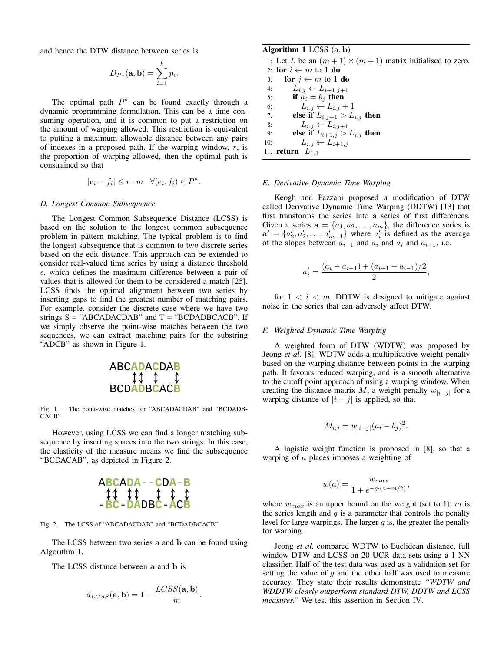and hence the DTW distance between series is

$$
D_{P*}(\mathbf{a},\mathbf{b})=\sum_{i=1}^k p_i.
$$

The optimal path  $P^*$  can be found exactly through a dynamic programming formulation. This can be a time consuming operation, and it is common to put a restriction on the amount of warping allowed. This restriction is equivalent to putting a maximum allowable distance between any pairs of indexes in a proposed path. If the warping window,  $r$ , is the proportion of warping allowed, then the optimal path is constrained so that

$$
|e_i - f_i| \le r \cdot m \quad \forall (e_i, f_i) \in P^*.
$$

#### *D. Longest Common Subsequence*

The Longest Common Subsequence Distance (LCSS) is based on the solution to the longest common subsequence problem in pattern matching. The typical problem is to find the longest subsequence that is common to two discrete series based on the edit distance. This approach can be extended to consider real-valued time series by using a distance threshold  $\epsilon$ , which defines the maximum difference between a pair of values that is allowed for them to be considered a match [25]. LCSS finds the optimal alignment between two series by inserting gaps to find the greatest number of matching pairs. For example, consider the discrete case where we have two strings  $S = "ABCADACDAB"$  and  $T = "BCDADBCACB".$  If we simply observe the point-wise matches between the two sequences, we can extract matching pairs for the substring "ADCB" as shown in Figure 1.



Fig. 1. The point-wise matches for "ABCADACDAB" and "BCDADB-CACB"

However, using LCSS we can find a longer matching subthe elasticity of the measure means we find the subsequence  $\text{``RCDACAB''}$  as depicted in Figure 2. sequence by inserting spaces into the two strings. In this case, "BCDACAB", as depicted in Figure 2.

$$
\begin{array}{c}\nABCADA--CDA-B \\
\updownarrow \updownarrow \qquad \updownarrow \qquad \downarrow \qquad \downarrow \qquad \downarrow \\
-BC-DADBC-ACB\n\end{array}
$$

Fig. 2. The LCSS of "ABCADACDAB" and "BCDADBCACB"

The LCSS between two series a and b can be found using Algorithm 1.

The LCSS distance between a and b is

$$
d_{LCSS}(\mathbf{a}, \mathbf{b}) = 1 - \frac{LCSS(\mathbf{a}, \mathbf{b})}{m}.
$$

## Algorithm 1 LCSS (a, b)

1: Let L be an  $(m+1) \times (m+1)$  matrix initialised to zero. 2: for  $i \leftarrow m$  to 1 do 3: **for**  $j \leftarrow m$  to 1 **do** 4:  $L_{i,j} \leftarrow L_{i+1,j+1}$ 5: if  $a_i = b_j$  then 6:  $L_{i,j} \leftarrow L_{i,j} + 1$ 7: else if  $L_{i,j+1} > L_{i,j}$  then 8:  $L_{i,j} \leftarrow L_{i,j+1}$ 9: **else if**  $L_{i+1,j} > L_{i,j}$  then 10:  $L_{i,j} \leftarrow L_{i+1,j}$ 11: **return**  $L_{1,1}$ 

# *E. Derivative Dynamic Time Warping*

Keogh and Pazzani proposed a modification of DTW called Derivative Dynamic Time Warping (DDTW) [13] that first transforms the series into a series of first differences. Given a series  $\mathbf{a} = \{a_1, a_2, \dots, a_m\}$ , the difference series is  $\mathbf{a}' = \{a'_2, a'_2, \dots, a'_{m-1}\}\$  where  $a'_i$  is defined as the average of the slopes between  $a_{i-1}$  and  $a_i$  and  $a_i$  and  $a_{i+1}$ , i.e.

$$
a'_{i} = \frac{(a_{i} - a_{i-1}) + (a_{i+1} - a_{i-1})/2}{2},
$$

for  $1 \lt i \lt m$ . DDTW is designed to mitigate against noise in the series that can adversely affect DTW.

## *F. Weighted Dynamic Time Warping*

A weighted form of DTW (WDTW) was proposed by Jeong *et al.* [8]. WDTW adds a multiplicative weight penalty based on the warping distance between points in the warping path. It favours reduced warping, and is a smooth alternative to the cutoff point approach of using a warping window. When creating the distance matrix M, a weight penalty  $w_{i-j}$  for a warping distance of  $|i - j|$  is applied, so that

$$
M_{i,j} = w_{|i-j|} (a_i - b_j)^2.
$$

A logistic weight function is proposed in [8], so that a warping of a places imposes a weighting of

$$
w(a) = \frac{w_{max}}{1 + e^{-g \cdot (a - m/2)}},
$$

where  $w_{max}$  is an upper bound on the weight (set to 1), m is the series length and  $g$  is a parameter that controls the penalty level for large warpings. The larger  $g$  is, the greater the penalty for warping.

Jeong *et al.* compared WDTW to Euclidean distance, full window DTW and LCSS on 20 UCR data sets using a 1-NN classifier. Half of the test data was used as a validation set for setting the value of  $g$  and the other half was used to measure accuracy. They state their results demonstrate *"WDTW and WDDTW clearly outperform standard DTW, DDTW and LCSS measures."* We test this assertion in Section IV.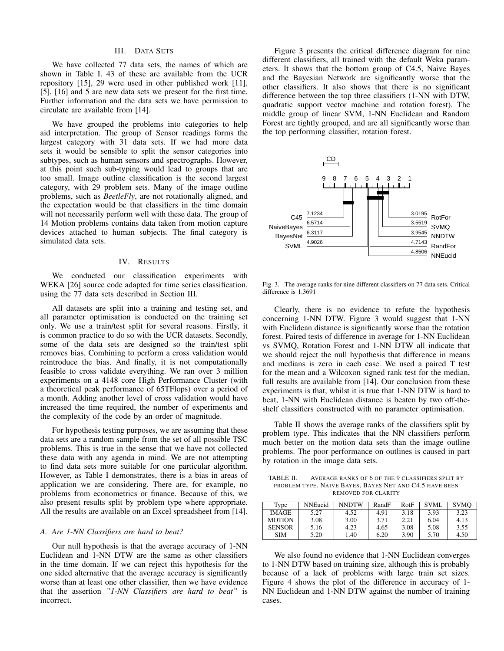# III. DATA SETS

We have collected 77 data sets, the names of which are shown in Table I. 43 of these are available from the UCR repository [15], 29 were used in other published work [11], [5], [16] and 5 are new data sets we present for the first time. Further information and the data sets we have permission to circulate are available from [14].

We have grouped the problems into categories to help aid interpretation. The group of Sensor readings forms the largest category with 31 data sets. If we had more data sets it would be sensible to split the sensor categories into subtypes, such as human sensors and spectrographs. However, at this point such sub-typing would lead to groups that are too small. Image outline classification is the second largest category, with 29 problem sets. Many of the image outline problems, such as *BeetleFly*, are not rotationally aligned, and the expectation would be that classifiers in the time domain will not necessarily perform well with these data. The group of 14 Motion problems contains data taken from motion capture devices attached to human subjects. The final category is simulated data sets.

## IV. RESULTS

We conducted our classification experiments with WEKA [26] source code adapted for time series classification, using the 77 data sets described in Section III.

All datasets are split into a training and testing set, and all parameter optimisation is conducted on the training set only. We use a train/test split for several reasons. Firstly, it is common practice to do so with the UCR datasets. Secondly, some of the data sets are designed so the train/test split removes bias. Combining to perform a cross validation would reintroduce the bias. And finally, it is not computationally feasible to cross validate everything. We ran over 3 million experiments on a 4148 core High Performance Cluster (with a theoretical peak performance of 65TFlops) over a period of a month. Adding another level of cross validation would have increased the time required, the number of experiments and the complexity of the code by an order of magnitude.

For hypothesis testing purposes, we are assuming that these data sets are a random sample from the set of all possible TSC problems. This is true in the sense that we have not collected these data with any agenda in mind. We are not attempting to find data sets more suitable for one particular algorithm. However, as Table I demonstrates, there is a bias in areas of application we are considering. There are, for example, no problems from econometrics or finance. Because of this, we also present results split by problem type where appropriate. All the results are available on an Excel spreadsheet from [14].

### *A. Are 1-NN Classifiers are hard to beat?*

Our null hypothesis is that the average accuracy of 1-NN Euclidean and 1-NN DTW are the same as other classifiers in the time domain. If we can reject this hypothesis for the one sided alternative that the average accuracy is significantly worse than at least one other classifier, then we have evidence that the assertion *"1-NN Classifiers are hard to beat"* is incorrect.

Figure 3 presents the critical difference diagram for nine different classifiers, all trained with the default Weka parameters. It shows that the bottom group of C4.5, Naive Bayes and the Bayesian Network are significantly worse that the other classifiers. It also shows that there is no significant difference between the top three classifiers (1-NN with DTW, quadratic support vector machine and rotation forest). The middle group of linear SVM, 1-NN Euclidean and Random Forest are tightly grouped, and are all significantly worse than the top performing classifier, rotation forest.



Fig. 3. The average ranks for nine different classifiers on 77 data sets. Critical difference is 1.3691

Clearly, there is no evidence to refute the hypothesis concerning 1-NN DTW. Figure 3 would suggest that 1-NN with Euclidean distance is significantly worse than the rotation forest. Paired tests of difference in average for 1-NN Euclidean vs SVMQ, Rotation Forest and 1-NN DTW all indicate that we should reject the null hypothesis that difference in means and medians is zero in each case. We used a paired T test for the mean and a Wilcoxon signed rank test for the median, full results are available from [14]. Our conclusion from these experiments is that, whilst it is true that 1-NN DTW is hard to beat, 1-NN with Euclidean distance is beaten by two off-theshelf classifiers constructed with no parameter optimisation.

Table II shows the average ranks of the classifiers split by problem type. This indicates that the NN classifiers perform much better on the motion data sets than the image outline problems. The poor performance on outlines is caused in part by rotation in the image data sets.

TABLE II. AVERAGE RANKS OF 6 OF THE 9 CLASSIFIERS SPLIT BY PROBLEM TYPE. NAIVE BAYES, BAYES NET AND C4.5 HAVE BEEN REMOVED FOR CLARITY

| Type          | <b>NNEucid</b> | <b>NNDTW</b> | RandF | RotF | <b>SVML</b> | <b>SVMO</b> |
|---------------|----------------|--------------|-------|------|-------------|-------------|
| <b>IMAGE</b>  | 5.27           | 4.52         | 4.91  | 3.18 | 3.93        | 3.23        |
| <b>MOTION</b> | 3.08           | 3.00         | 3.71  | 2.21 | 6.04        | 4.13        |
| <b>SENSOR</b> | 5.16           | 4.23         | 4.65  | 3.08 | 5.08        | 3.55        |
| SIM           | 5.20           | 1.40         | 6.20  | 3.90 | 5.70        | 4.50        |

We also found no evidence that 1-NN Euclidean converges to 1-NN DTW based on training size, although this is probably because of a lack of problems with large train set sizes. Figure 4 shows the plot of the difference in accuracy of 1- NN Euclidean and 1-NN DTW against the number of training cases.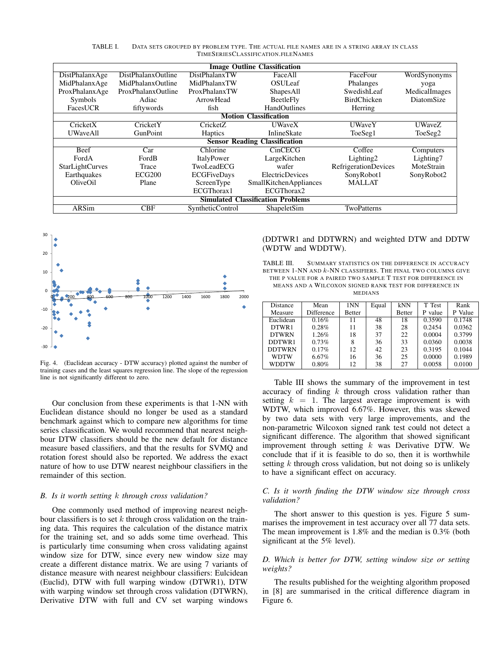| <b>Image Outline Classification</b>      |                    |                                 |                               |                             |               |  |  |  |  |
|------------------------------------------|--------------------|---------------------------------|-------------------------------|-----------------------------|---------------|--|--|--|--|
| DistPhalanxAge                           | DistPhalanxOutline | DistPhalanxTW                   | FaceAll                       | FaceFour                    | WordSynonyms  |  |  |  |  |
| MidPhalanxAge                            | MidPhalanxOutline  | <b>OSUL</b> eaf<br>MidPhalanxTW |                               | Phalanges                   | yoga          |  |  |  |  |
| ProxPhalanxAge                           | ProxPhalanxOutline | ProxPhalanxTW                   | ShapesAll                     | SwedishLeaf                 | MedicalImages |  |  |  |  |
| Symbols                                  | Adiac              | ArrowHead                       | <b>BeetleFly</b>              | <b>BirdChicken</b>          | DiatomSize    |  |  |  |  |
| FacesUCR                                 | fiftywords         | fish                            | <b>HandOutlines</b>           | Herring                     |               |  |  |  |  |
| <b>Motion Classification</b>             |                    |                                 |                               |                             |               |  |  |  |  |
| CricketX                                 | CricketY           | CricketZ                        | <b>UWaveX</b>                 | <b>UWaveY</b>               | <b>UWaveZ</b> |  |  |  |  |
| <b>UWaveAll</b>                          | GunPoint           | <b>Haptics</b>                  | <b>InlineSkate</b>            | ToeSeg1                     | ToeSeg2       |  |  |  |  |
| <b>Sensor Reading Classification</b>     |                    |                                 |                               |                             |               |  |  |  |  |
| Beef                                     | Car                | Chlorine                        | CinCECG                       | Coffee                      | Computers     |  |  |  |  |
| FordA                                    | FordB              | ItalyPower                      | LargeKitchen                  | Lighting2                   | Lighting7     |  |  |  |  |
| StarLightCurves                          | Trace              | TwoLeadECG                      | wafer                         | <b>RefrigerationDevices</b> | MoteStrain    |  |  |  |  |
| Earthquakes                              | <b>ECG200</b>      | <b>ECGFiveDays</b>              | <b>ElectricDevices</b>        | SonyRobot1                  | SonyRobot2    |  |  |  |  |
| OliveOil                                 | Plane              | ScreenType                      | <b>SmallKitchenAppliances</b> | <b>MALLAT</b>               |               |  |  |  |  |
|                                          |                    | ECGThorax1                      | ECGThorax2                    |                             |               |  |  |  |  |
| <b>Simulated Classification Problems</b> |                    |                                 |                               |                             |               |  |  |  |  |
| ARSim                                    | <b>CBF</b>         | SyntheticControl                | ShapeletSim                   | TwoPatterns                 |               |  |  |  |  |

TABLE I. DATA SETS GROUPED BY PROBLEM TYPE. THE ACTUAL FILE NAMES ARE IN A STRING ARRAY IN CLASS TIMESERIESCLASSIFICATION.FILENAMES



Fig. 4. (Euclidean accuracy - DTW accuracy) plotted against the number of training cases and the least squares regression line. The slope of the regression line is not significantly different to zero.

Our conclusion from these experiments is that 1-NN with Euclidean distance should no longer be used as a standard benchmark against which to compare new algorithms for time series classification. We would recommend that nearest neighbour DTW classifiers should be the new default for distance measure based classifiers, and that the results for SVMQ and rotation forest should also be reported. We address the exact nature of how to use DTW nearest neighbour classifiers in the remainder of this section.

#### *B. Is it worth setting* k *through cross validation?*

One commonly used method of improving nearest neighbour classifiers is to set  $k$  through cross validation on the training data. This requires the calculation of the distance matrix for the training set, and so adds some time overhead. This is particularly time consuming when cross validating against window size for DTW, since every new window size may create a different distance matrix. We are using 7 variants of distance measure with nearest neighbour classifiers: Eulcidean (Euclid), DTW with full warping window (DTWR1), DTW with warping window set through cross validation (DTWRN), Derivative DTW with full and CV set warping windows (DDTWR1 and DDTWRN) and weighted DTW and DDTW (WDTW and WDDTW).

TABLE III. SUMMARY STATISTICS ON THE DIFFERENCE IN ACCURACY BETWEEN  $1$ -NN AND  $k$ -NN CLASSIFIERS. THE FINAL TWO COLUMNS GIVE THE P VALUE FOR A PAIRED TWO SAMPLE T TEST FOR DIFFERENCE IN MEANS AND A WILCOXON SIGNED RANK TEST FOR DIFFERENCE IN MEDIANS

| Distance      | Mean              | 1NN           | Equal | kNN           | T Test  | Rank    |
|---------------|-------------------|---------------|-------|---------------|---------|---------|
| Measure       | <b>Difference</b> | <b>Better</b> |       | <b>Better</b> | P value | P Value |
| Euclidean     | 0.16%             | 11            | 48    | 18            | 0.3590  | 0.1748  |
| DTWR1         | 0.28%             | 11            | 38    | 28            | 0.2454  | 0.0362  |
| <b>DTWRN</b>  | 1.26%             | 18            | 37    | 22            | 0.0004  | 0.3799  |
| DDTWR1        | 0.73%             |               | 36    | 33            | 0.0360  | 0.0038  |
| <b>DDTWRN</b> | 0.17%             | 12.           | 42    | 23            | 0.3195  | 0.1044  |
| WDTW          | 6.67%             | 16            | 36    | 25            | 0.0000  | 0.1989  |
| <b>WDDTW</b>  | 0.80%             | 12.           | 38    | 27            | 0.0058  | 0.0100  |

Table III shows the summary of the improvement in test accuracy of finding  $k$  through cross validation rather than setting  $k = 1$ . The largest average improvement is with WDTW, which improved 6.67%. However, this was skewed by two data sets with very large improvements, and the non-parametric Wilcoxon signed rank test could not detect a significant difference. The algorithm that showed significant improvement through setting  $k$  was Derivative DTW. We conclude that if it is feasible to do so, then it is worthwhile setting  $k$  through cross validation, but not doing so is unlikely to have a significant effect on accuracy.

## *C. Is it worth finding the DTW window size through cross validation?*

The short answer to this question is yes. Figure 5 summarises the improvement in test accuracy over all 77 data sets. The mean improvement is 1.8% and the median is 0.3% (both significant at the 5% level).

## *D. Which is better for DTW, setting window size or setting weights?*

The results published for the weighting algorithm proposed in [8] are summarised in the critical difference diagram in Figure 6.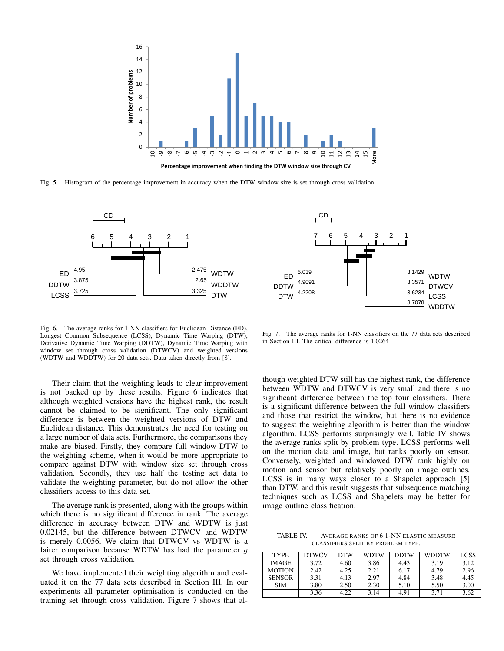

Fig. 5. Histogram of the percentage improvement in accuracy when the DTW window size is set through cross validation.



7 6 5 4 3 2 1  $\frac{3.1429}{3.3571}$  WDTW  $\frac{3.3571}{3.6234}$  DTWCV  $\frac{3.0234}{3.7078}$  LCSS WDDTW DTW 4.2208 4.9091 DDTW  $FD \frac{5.039}{ }$ 

CD

Fig. 6. The average ranks for 1-NN classifiers for Euclidean Distance (ED), Longest Common Subsequence (LCSS), Dynamic Time Warping (DTW), Derivative Dynamic Time Warping (DDTW), Dynamic Time Warping with window set through cross validation (DTWCV) and weighted versions (WDTW and WDDTW) for 20 data sets. Data taken directly from [8].

Their claim that the weighting leads to clear improvement is not backed up by these results. Figure 6 indicates that although weighted versions have the highest rank, the result cannot be claimed to be significant. The only significant difference is between the weighted versions of DTW and Euclidean distance. This demonstrates the need for testing on a large number of data sets. Furthermore, the comparisons they make are biased. Firstly, they compare full window DTW to the weighting scheme, when it would be more appropriate to compare against DTW with window size set through cross validation. Secondly, they use half the testing set data to validate the weighting parameter, but do not allow the other classifiers access to this data set.

The average rank is presented, along with the groups within which there is no significant difference in rank. The average difference in accuracy between DTW and WDTW is just 0.02145, but the difference between DTWCV and WDTW is merely 0.0056. We claim that DTWCV vs WDTW is a fairer comparison because WDTW has had the parameter  $g$ set through cross validation.

We have implemented their weighting algorithm and evaluated it on the 77 data sets described in Section III. In our experiments all parameter optimisation is conducted on the training set through cross validation. Figure 7 shows that al-

Fig. 7. The average ranks for 1-NN classifiers on the 77 data sets described in Section III. The critical difference is 1.0264

though weighted DTW still has the highest rank, the difference between WDTW and DTWCV is very small and there is no significant difference between the top four classifiers. There is a significant difference between the full window classifiers and those that restrict the window, but there is no evidence to suggest the weighting algorithm is better than the window algorithm. LCSS performs surprisingly well. Table IV shows the average ranks split by problem type. LCSS performs well on the motion data and image, but ranks poorly on sensor. Conversely, weighted and windowed DTW rank highly on motion and sensor but relatively poorly on image outlines. LCSS is in many ways closer to a Shapelet approach [5] than DTW, and this result suggests that subsequence matching techniques such as LCSS and Shapelets may be better for image outline classification.

TABLE IV. AVERAGE RANKS OF 6 1-NN ELASTIC MEASURE CLASSIFIERS SPLIT BY PROBLEM TYPE.

| <b>TYPE</b>   | <b>DTWCV</b> | <b>DTW</b> | WDTW | <b>DDTW</b> | <b>WDDTW</b> | LCSS. |
|---------------|--------------|------------|------|-------------|--------------|-------|
| <b>IMAGE</b>  | 3.72         | 4.60       | 3.86 | 4.43        | 3.19         | 3.12  |
| <b>MOTION</b> | 2.42         | 4.25       | 2.21 | 6.17        | 4.79         | 2.96  |
| <b>SENSOR</b> | 3.31         | 4.13       | 2.97 | 4.84        | 3.48         | 4.45  |
| <b>SIM</b>    | 3.80         | 2.50       | 2.30 | 5.10        | 5.50         | 3.00  |
|               | 3.36         | 4.22       | 3.14 | 4.91        | 3.71         | 3.62  |